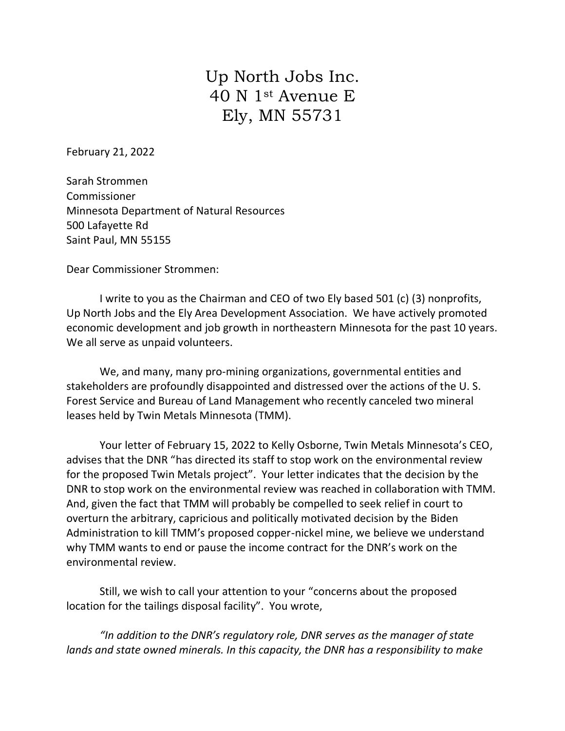## Up North Jobs Inc. 40 N 1st Avenue E Ely, MN 55731

February 21, 2022

Sarah Strommen Commissioner Minnesota Department of Natural Resources 500 Lafayette Rd Saint Paul, MN 55155

Dear Commissioner Strommen:

I write to you as the Chairman and CEO of two Ely based 501 (c) (3) nonprofits, Up North Jobs and the Ely Area Development Association. We have actively promoted economic development and job growth in northeastern Minnesota for the past 10 years. We all serve as unpaid volunteers.

We, and many, many pro-mining organizations, governmental entities and stakeholders are profoundly disappointed and distressed over the actions of the U. S. Forest Service and Bureau of Land Management who recently canceled two mineral leases held by Twin Metals Minnesota (TMM).

Your letter of February 15, 2022 to Kelly Osborne, Twin Metals Minnesota's CEO, advises that the DNR "has directed its staff to stop work on the environmental review for the proposed Twin Metals project". Your letter indicates that the decision by the DNR to stop work on the environmental review was reached in collaboration with TMM. And, given the fact that TMM will probably be compelled to seek relief in court to overturn the arbitrary, capricious and politically motivated decision by the Biden Administration to kill TMM's proposed copper-nickel mine, we believe we understand why TMM wants to end or pause the income contract for the DNR's work on the environmental review.

Still, we wish to call your attention to your "concerns about the proposed location for the tailings disposal facility". You wrote,

*"In addition to the DNR's regulatory role, DNR serves as the manager of state lands and state owned minerals. In this capacity, the DNR has a responsibility to make*